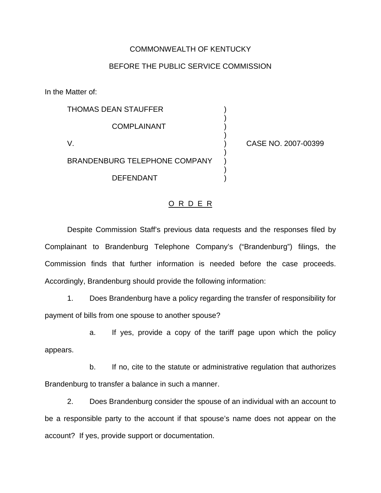## COMMONWEALTH OF KENTUCKY

## BEFORE THE PUBLIC SERVICE COMMISSION

)

)

)

)

In the Matter of:

THOMAS DEAN STAUFFER ) **COMPLAINANT** V. ) CASE NO. 2007-00399 BRANDENBURG TELEPHONE COMPANY DEFENDANT )

## O R D E R

Despite Commission Staff's previous data requests and the responses filed by Complainant to Brandenburg Telephone Company's ("Brandenburg") filings, the Commission finds that further information is needed before the case proceeds. Accordingly, Brandenburg should provide the following information:

1. Does Brandenburg have a policy regarding the transfer of responsibility for payment of bills from one spouse to another spouse?

a. If yes, provide a copy of the tariff page upon which the policy appears.

b. If no, cite to the statute or administrative regulation that authorizes Brandenburg to transfer a balance in such a manner.

2. Does Brandenburg consider the spouse of an individual with an account to be a responsible party to the account if that spouse's name does not appear on the account? If yes, provide support or documentation.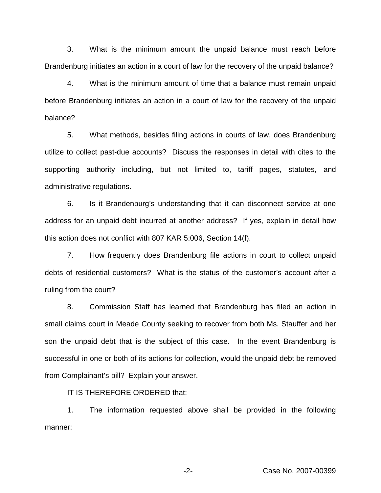3. What is the minimum amount the unpaid balance must reach before Brandenburg initiates an action in a court of law for the recovery of the unpaid balance?

4. What is the minimum amount of time that a balance must remain unpaid before Brandenburg initiates an action in a court of law for the recovery of the unpaid balance?

5. What methods, besides filing actions in courts of law, does Brandenburg utilize to collect past-due accounts? Discuss the responses in detail with cites to the supporting authority including, but not limited to, tariff pages, statutes, and administrative regulations.

6. Is it Brandenburg's understanding that it can disconnect service at one address for an unpaid debt incurred at another address? If yes, explain in detail how this action does not conflict with 807 KAR 5:006, Section 14(f).

7. How frequently does Brandenburg file actions in court to collect unpaid debts of residential customers? What is the status of the customer's account after a ruling from the court?

8. Commission Staff has learned that Brandenburg has filed an action in small claims court in Meade County seeking to recover from both Ms. Stauffer and her son the unpaid debt that is the subject of this case. In the event Brandenburg is successful in one or both of its actions for collection, would the unpaid debt be removed from Complainant's bill? Explain your answer.

IT IS THEREFORE ORDERED that:

1. The information requested above shall be provided in the following manner:

-2- Case No. 2007-00399